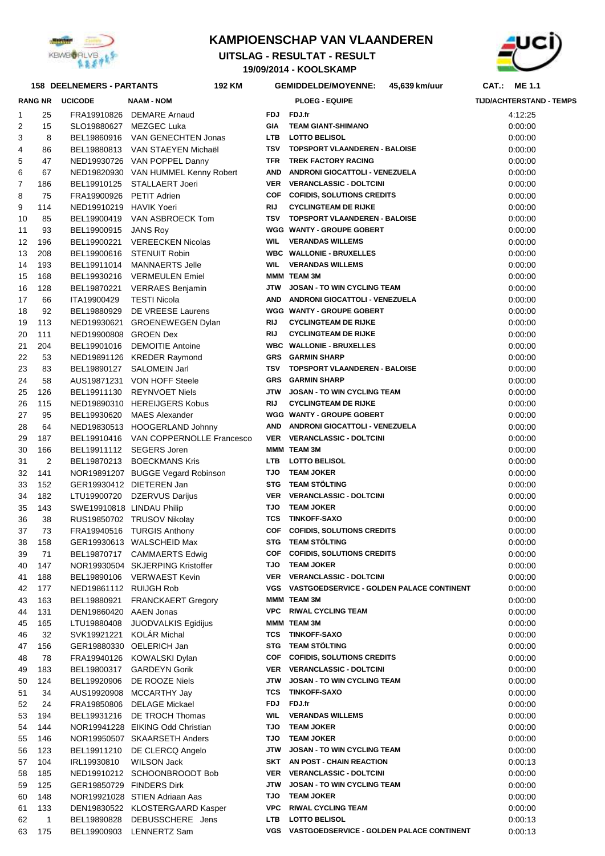

## **KAMPIOENSCHAP VAN VLAANDEREN**

**UITSLAG - RESULTAT - RESULT** 



 **DEELNEMERS - PARTANTS 192 CAT.: ME 1.1 KM GEMIDDELDE/MOYENNE: 45,639 km/uur 19/09/2014 - KOOLSKAMP RANG NR UCICODE NAAM - NOM PLOEG - EQUIPE TIJD/ACHTERSTAND - TEMPS** 25 FRA19910826 DEMARE Arnaud **FDJ FDJ.fr** 4:12:25 15 SLO19880627 MEZGEC Luka **GIA TEAM GIANT-SHIMANO** 0:00:00 8 BEL19860916 VAN GENECHTEN Jonas **LTB LOTTO BELISOL** 0:00:00 86 BEL19880813 VAN STAEYEN Michaël **TSV TOPSPORT VLAANDEREN - BALOISE** 0:00:00 47 NED19930726 VAN POPPEL Danny **TFR TREK FACTORY RACING** 0:00:00 67 NED19820930 VAN HUMMEL Kenny Robert **AND ANDRONI GIOCATTOLI - VENEZUELA** 0:00:00 186 BEL19910125 STALLAERT Joeri **VER VERANCLASSIC - DOLTCINI** 0:00:00 75 FRA19900926 PETIT Adrien **COF COFIDIS, SOLUTIONS CREDITS** 0:00:00 114 NED19910219 HAVIK Yoeri **RIJ CYCLINGTEAM DE RIJKE** 0:00:00 85 BEL19900419 VAN ASBROECK Tom **TSV TOPSPORT VLAANDEREN - BALOISE** 0:00:00 93 BEL19900915 JANS Roy **WGG WANTY - GROUPE GOBERT** 0:00:00 196 BEL19900221 VEREECKEN Nicolas **WIL VERANDAS WILLEMS** 0:00:00 208 BEL19900616 STENUIT Robin **WBC WALLONIE - BRUXELLES** 0:00:00 193 BEL19911014 MANNAERTS Jelle **WIL VERANDAS WILLEMS** 0:00:00 168 BEL19930216 VERMEULEN Emiel **MMM TEAM 3M** 0:00:00 128 BEL19870221 VERRAES Benjamin **JTW JOSAN - TO WIN CYCLING TEAM** 0:00:00 66 ITA19900429 TESTI Nicola **AND ANDRONI GIOCATTOLI - VENEZUELA** 0:00:00 92 BEL19880929 DE VREESE Laurens **WGG WANTY - GROUPE GOBERT** 0:00:00 113 NED19930621 GROENEWEGEN Dylan **RIJ CYCLINGTEAM DE RIJKE** 0:00:00 111 NED19900808 GROEN Dex **RIJ CYCLINGTEAM DE RIJKE** 0:00:00 204 BEL19901016 DEMOITIE Antoine **WBC WALLONIE - BRUXELLES** 0:00:00 53 NED19891126 KREDER Raymond **GRS GARMIN SHARP** 0:00:00 83 BEL19890127 SALOMEIN Jarl **TSV TOPSPORT VLAANDEREN - BALOISE** 0:00:00 58 AUS19871231 VON HOFF Steele **GRS GARMIN SHARP** 0:00:00 126 BEL19911130 REYNVOET Niels **JTW JOSAN - TO WIN CYCLING TEAM** 0:00:00 115 NED19890310 HEREIJGERS Kobus **RIJ CYCLINGTEAM DE RIJKE** 0:00:00 95 BEL19930620 MAES Alexander **WGG WANTY - GROUPE GOBERT** 0:00:00 64 NED19830513 HOOGERLAND Johnny **AND ANDRONI GIOCATTOLI - VENEZUELA** 0:00:00 187 BEL19910416 VAN COPPERNOLLE Francesco **VER VERANCLASSIC - DOLTCINI** 0:00:00 166 BEL19911112 SEGERS Joren **MMM TEAM 3M** 0:00:00 31 2 BEL19870213 BOECKMANS Kris **LTB LOTTO BELISOL** 0:00:00<br>32 141 NOR19891207 BUGGE Vegard Robinson **TJO TEAM JOKER** 0:00:00<br>0:00:00 0:00:00 PTC TEAM STALTING 0:00:00 0:00:00 141 NOR19891207 BUGGE Vegard Robinson **TJO TEAM JOKER** 0:00:00 152 GER19930412 DIETEREN Jan **STG TEAM STÖLTING** 0:00:00 182 LTU19900720 DZERVUS Darijus **VER VERANCLASSIC - DOLTCINI** 0:00:00 143 SWE19910818 LINDAU Philip **TJO TEAM JOKER** 0:00:00 38 RUS19850702 TRUSOV Nikolay **TCS TINKOFF-SAXO** 0:00:00 73 FRA19940516 TURGIS Anthony **COF COFIDIS, SOLUTIONS CREDITS** 0:00:00 158 GER19930613 WALSCHEID Max **STG TEAM STÖLTING** 0:00:00 71 BEL19870717 CAMMAERTS Edwig **COF COFIDIS, SOLUTIONS CREDITS** 0:00:00 147 NOR19930504 SKJERPING Kristoffer **TJO TEAM JOKER** 0:00:00 188 BEL19890106 VERWAEST Kevin **VER VERANCLASSIC - DOLTCINI** 0:00:00 177 NED19861112 RUIJGH Rob **VGS VASTGOEDSERVICE - GOLDEN PALACE CONTINENT** 0:00:00 163 BEL19880921 FRANCKAERT Gregory **MMM TEAM 3M** 0:00:00 131 DEN19860420 AAEN Jonas **VPC RIWAL CYCLING TEAM** 0:00:00 165 LTU19880408 JUODVALKIS Egidijus **MMM TEAM 3M** 0:00:00

 32 SVK19921221 KOLÁR Michal **TCS TINKOFF-SAXO** 0:00:00 156 GER19880330 OELERICH Jan **STG TEAM STÖLTING** 0:00:00 78 FRA19940126 KOWALSKI Dylan **COF COFIDIS, SOLUTIONS CREDITS** 0:00:00 183 BEL19800317 GARDEYN Gorik **VER VERANCLASSIC - DOLTCINI** 0:00:00 124 BEL19920906 DE ROOZE Niels **JTW JOSAN - TO WIN CYCLING TEAM** 0:00:00 34 AUS19920908 MCCARTHY Jay **TCS TINKOFF-SAXO** 0:00:00 24 FRA19850806 DELAGE Mickael **FDJ FDJ.fr** 0:00:00 194 BEL19931216 DE TROCH Thomas **WIL VERANDAS WILLEMS** 0:00:00 144 NOR19941228 EIKING Odd Christian **TJO TEAM JOKER** 0:00:00 146 NOR19950507 SKAARSETH Anders **TJO TEAM JOKER** 0:00:00 123 BEL19911210 DE CLERCQ Angelo **JTW JOSAN - TO WIN CYCLING TEAM** 0:00:00 104 IRL19930810 WILSON Jack **SKT AN POST - CHAIN REACTION** 0:00:13 185 NED19910212 SCHOONBROODT Bob **VER VERANCLASSIC - DOLTCINI** 0:00:00 125 GER19850729 FINDERS Dirk **JTW JOSAN - TO WIN CYCLING TEAM** 0:00:00 148 NOR19921028 STIEN Adriaan Aas **TJO TEAM JOKER** 0:00:00 133 DEN19830522 KLOSTERGAARD Kasper **VPC RIWAL CYCLING TEAM** 0:00:00 1 BEL19890828 DEBUSSCHERE Jens **LTB LOTTO BELISOL** 0:00:13

175 BEL19900903 LENNERTZ Sam **VGS VASTGOEDSERVICE - GOLDEN PALACE CONTINENT** 0:00:13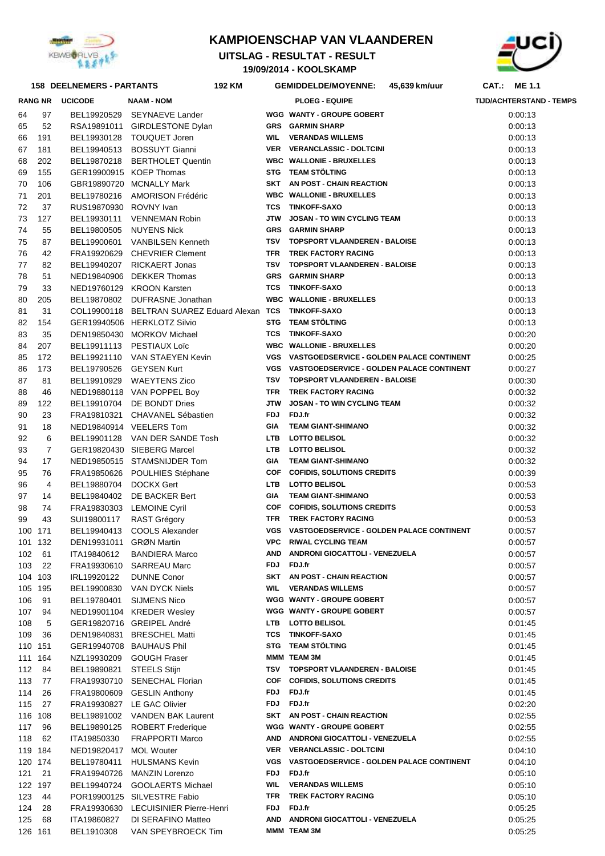

## **KAMPIOENSCHAP VAN VLAANDEREN**

**19/09/2014 - KOOLSKAMP UITSLAG - RESULTAT - RESULT** 



#### **DEELNEMERS - PARTANTS 192 CAT.: ME 1.1 KM GEMIDDELDE/MOYENNE: 45,639 km/uur**

|          |                     | RANG NR UCICODE         | NAAM - NOM                                   |                   | <b>PLOEG - EQUIPE</b>                         | <b>TIJD/ACHTERSTAND - TEMPS</b> |
|----------|---------------------|-------------------------|----------------------------------------------|-------------------|-----------------------------------------------|---------------------------------|
| 64       | 97                  |                         | BEL19920529 SEYNAEVE Lander                  |                   | <b>WGG WANTY - GROUPE GOBERT</b>              | 0:00:13                         |
| 65       | 52                  |                         | RSA19891011 GIRDLESTONE Dylan                |                   | <b>GRS GARMIN SHARP</b>                       | 0:00:13                         |
| 66       | 191                 |                         | BEL19930128 TOUQUET Joren                    |                   | <b>WIL VERANDAS WILLEMS</b>                   | 0:00:13                         |
| 67       | 181                 |                         | BEL19940513 BOSSUYT Gianni                   |                   | <b>VER VERANCLASSIC - DOLTCINI</b>            | 0:00:13                         |
| 68       | 202                 |                         | BEL19870218 BERTHOLET Quentin                |                   | <b>WBC WALLONIE - BRUXELLES</b>               | 0:00:13                         |
| 69       | 155                 |                         | GER19900915 KOEP Thomas                      |                   | STG TEAM STÖLTING                             | 0:00:13                         |
| 70       | 106                 |                         | GBR19890720 MCNALLY Mark                     |                   | SKT AN POST - CHAIN REACTION                  | 0:00:13                         |
| 71       | 201                 |                         | BEL19780216 AMORISON Frédéric                |                   | <b>WBC WALLONIE - BRUXELLES</b>               | 0:00:13                         |
| 72       | 37                  | RUS19870930 ROVNY Ivan  |                                              |                   | <b>TCS TINKOFF-SAXO</b>                       | 0:00:13                         |
| 73       | 127                 |                         | BEL19930111 VENNEMAN Robin                   |                   | JTW JOSAN - TO WIN CYCLING TEAM               | 0:00:13                         |
| 74       | 55                  |                         | BEL19800505 NUYENS Nick                      |                   | <b>GRS GARMIN SHARP</b>                       | 0:00:13                         |
| 75       | 87                  |                         | BEL19900601 VANBILSEN Kenneth                |                   | TSV TOPSPORT VLAANDEREN - BALOISE             | 0:00:13                         |
| 76       | 42                  |                         | FRA19920629 CHEVRIER Clement                 |                   | TFR TREK FACTORY RACING                       | 0:00:13                         |
| 77       | 82                  |                         | BEL19940207 RICKAERT Jonas                   |                   | TSV TOPSPORT VLAANDEREN - BALOISE             | 0:00:13                         |
| 78       | 51                  |                         | NED19840906 DEKKER Thomas                    |                   | <b>GRS GARMIN SHARP</b>                       | 0:00:13                         |
| 79       | 33                  |                         | NED19760129 KROON Karsten                    |                   | <b>TCS TINKOFF-SAXO</b>                       | 0:00:13                         |
| 80       | 205                 |                         | BEL19870802 DUFRASNE Jonathan                |                   | <b>WBC WALLONIE - BRUXELLES</b>               | 0:00:13                         |
| 81       | 31                  |                         | COL19900118 BELTRAN SUAREZ Eduard Alexan TCS |                   | <b>TINKOFF-SAXO</b>                           | 0:00:13                         |
| 82       | 154                 |                         | GER19940506 HERKLOTZ Silvio                  |                   | STG TEAM STÖLTING                             | 0:00:13                         |
| 83       | 35                  |                         | DEN19850430 MORKOV Michael                   |                   | <b>TCS TINKOFF-SAXO</b>                       | 0:00:20                         |
| 84       | 207                 |                         | BEL19911113 PESTIAUX Loïc                    |                   | <b>WBC WALLONIE - BRUXELLES</b>               | 0:00:20                         |
| 85       | 172                 |                         | BEL19921110 VAN STAEYEN Kevin                |                   | VGS VASTGOEDSERVICE - GOLDEN PALACE CONTINENT | 0:00:25                         |
| 86       | 173                 |                         | BEL19790526 GEYSEN Kurt                      |                   | VGS VASTGOEDSERVICE - GOLDEN PALACE CONTINENT | 0:00:27                         |
| 87       | 81                  |                         | BEL19910929 WAEYTENS Zico                    |                   | TSV TOPSPORT VLAANDEREN - BALOISE             | 0:00:30                         |
| 88       | 46                  |                         | NED19880118 VAN POPPEL Boy                   | TFR               | <b>TREK FACTORY RACING</b>                    | 0:00:32                         |
| 89       | 122                 |                         | BEL19910704 DE BONDT Dries                   | <b>JTW</b>        | JOSAN - TO WIN CYCLING TEAM                   | 0:00:32                         |
| 90       | 23                  |                         | FRA19810321 CHAVANEL Sébastien               | <b>FDJ</b><br>GIA | FDJ.fr<br><b>TEAM GIANT-SHIMANO</b>           | 0:00:32                         |
| 91       | 18                  |                         | NED19840914 VEELERS Tom                      |                   |                                               | 0:00:32                         |
| 92       | 6<br>$\overline{7}$ |                         | BEL19901128 VAN DER SANDE Tosh               | LTB<br>LTB        | <b>LOTTO BELISOL</b><br><b>LOTTO BELISOL</b>  | 0:00:32                         |
| 93<br>94 | 17                  |                         | GER19820430 SIEBERG Marcel                   | GIA               | <b>TEAM GIANT-SHIMANO</b>                     | 0:00:32                         |
|          | 76                  |                         | NED19850515 STAMSNIJDER Tom                  |                   | COF COFIDIS, SOLUTIONS CREDITS                | 0:00:32                         |
| 95<br>96 | 4                   | BEL19880704 DOCKX Gert  | FRA19850626 POULHIES Stéphane                | <b>LTB</b>        | <b>LOTTO BELISOL</b>                          | 0:00:39<br>0:00:53              |
| 97       | 14                  |                         | BEL19840402 DE BACKER Bert                   | GIA               | <b>TEAM GIANT-SHIMANO</b>                     | 0:00:53                         |
| 98       | 74                  |                         | FRA19830303 LEMOINE Cyril                    |                   | <b>COF COFIDIS, SOLUTIONS CREDITS</b>         | 0:00:53                         |
| 99       | 43                  |                         | SUI19800117 RAST Grégory                     | TFR               | <b>TREK FACTORY RACING</b>                    | 0:00:53                         |
|          | 100 171             |                         | BEL19940413 COOLS Alexander                  |                   | VGS VASTGOEDSERVICE - GOLDEN PALACE CONTINENT | 0:00:57                         |
|          | 101 132             | DEN19931011 GRØN Martin |                                              | <b>VPC</b>        | <b>RIWAL CYCLING TEAM</b>                     | 0:00:57                         |
| 102      | 61                  | ITA19840612             | <b>BANDIERA Marco</b>                        | AND               | ANDRONI GIOCATTOLI - VENEZUELA                | 0:00:57                         |
| 103      | 22                  |                         | FRA19930610 SARREAU Marc                     | FDJ               | FDJ.fr                                        | 0:00:57                         |
|          | 104 103             | IRL19920122             | <b>DUNNE Conor</b>                           |                   | SKT AN POST - CHAIN REACTION                  | 0:00:57                         |
|          | 105 195             |                         | BEL19900830 VAN DYCK Niels                   | WIL               | <b>VERANDAS WILLEMS</b>                       | 0:00:57                         |
| 106      | 91                  | BEL19780401             | <b>SIJMENS Nico</b>                          |                   | WGG WANTY - GROUPE GOBERT                     | 0:00:57                         |
| 107      | 94                  |                         | NED19901104 KREDER Wesley                    |                   | <b>WGG WANTY - GROUPE GOBERT</b>              | 0:00:57                         |
| 108      | 5                   |                         | GER19820716 GREIPEL André                    | LTB.              | <b>LOTTO BELISOL</b>                          | 0:01:45                         |
| 109      | 36                  |                         | DEN19840831 BRESCHEL Matti                   | TCS               | <b>TINKOFF-SAXO</b>                           | 0:01:45                         |
|          | 110 151             |                         | GER19940708 BAUHAUS Phil                     |                   | STG TEAM STÖLTING                             | 0:01:45                         |
|          | 111 164             | NZL19930209             | <b>GOUGH Fraser</b>                          |                   | MMM TEAM 3M                                   | 0:01:45                         |
| 112      | 84                  | BEL19890821             | <b>STEELS Stijn</b>                          |                   | TSV TOPSPORT VLAANDEREN - BALOISE             | 0:01:45                         |
| 113      | 77                  |                         | FRA19930710 SENECHAL Florian                 |                   | COF COFIDIS, SOLUTIONS CREDITS                | 0:01:45                         |
| 114      | 26                  |                         | FRA19800609 GESLIN Anthony                   | FDJ               | FDJ.fr                                        | 0:01:45                         |
| 115      | 27                  |                         | FRA19930827 LE GAC Olivier                   | FDJ               | FDJ.fr                                        | 0:02:20                         |
|          | 116 108             |                         | BEL19891002 VANDEN BAK Laurent               |                   | SKT AN POST - CHAIN REACTION                  | 0:02:55                         |
| 117      | 96                  |                         | BEL19890125 ROBERT Frederique                |                   | WGG WANTY - GROUPE GOBERT                     | 0:02:55                         |
| 118      | 62                  | ITA19850330             | <b>FRAPPORTI Marco</b>                       |                   | AND ANDRONI GIOCATTOLI - VENEZUELA            | 0:02:55                         |
|          | 119 184             | NED19820417 MOL Wouter  |                                              |                   | <b>VER VERANCLASSIC - DOLTCINI</b>            | 0:04:10                         |
|          | 120 174             | BEL19780411             | <b>HULSMANS Kevin</b>                        |                   | VGS VASTGOEDSERVICE - GOLDEN PALACE CONTINENT | 0:04:10                         |
| 121      | 21                  |                         | FRA19940726 MANZIN Lorenzo                   | FDJ               | FDJ.fr                                        | 0:05:10                         |
|          | 122 197             | BEL19940724             | <b>GOOLAERTS Michael</b>                     | <b>WIL</b>        | <b>VERANDAS WILLEMS</b>                       | 0:05:10                         |
| 123      | 44                  |                         | POR19900125 SILVESTRE Fabio                  | TFR               | <b>TREK FACTORY RACING</b>                    | 0:05:10                         |
| 124      | 28                  |                         | FRA19930630 LECUISINIER Pierre-Henri         | FDJ               | FDJ.fr                                        | 0:05:25                         |
| 125      | 68                  | ITA19860827             | DI SERAFINO Matteo                           |                   | AND ANDRONI GIOCATTOLI - VENEZUELA            | 0:05:25                         |
|          | 126 161             | BEL1910308              | VAN SPEYBROECK Tim                           |                   | MMM TEAM 3M                                   | 0:05:25                         |